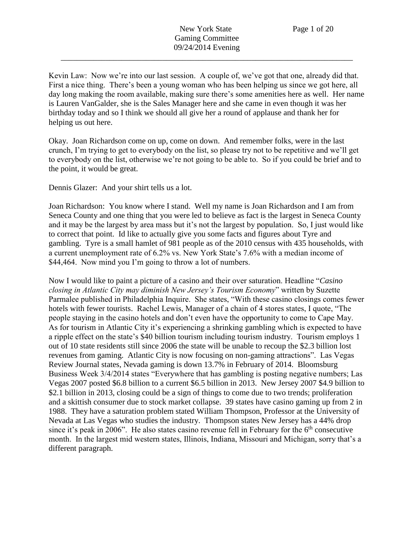Kevin Law: Now we're into our last session. A couple of, we've got that one, already did that. First a nice thing. There's been a young woman who has been helping us since we got here, all day long making the room available, making sure there's some amenities here as well. Her name is Lauren VanGalder, she is the Sales Manager here and she came in even though it was her birthday today and so I think we should all give her a round of applause and thank her for helping us out here.

Okay. Joan Richardson come on up, come on down. And remember folks, were in the last crunch, I'm trying to get to everybody on the list, so please try not to be repetitive and we'll get to everybody on the list, otherwise we're not going to be able to. So if you could be brief and to the point, it would be great.

Dennis Glazer: And your shirt tells us a lot.

Joan Richardson: You know where I stand. Well my name is Joan Richardson and I am from Seneca County and one thing that you were led to believe as fact is the largest in Seneca County and it may be the largest by area mass but it's not the largest by population. So, I just would like to correct that point. Id like to actually give you some facts and figures about Tyre and gambling. Tyre is a small hamlet of 981 people as of the 2010 census with 435 households, with a current unemployment rate of 6.2% vs. New York State's 7.6% with a median income of \$44,464. Now mind you I'm going to throw a lot of numbers.

Now I would like to paint a picture of a casino and their over saturation. Headline "*Casino closing in Atlantic City may diminish New Jersey's Tourism Economy*" written by Suzette Parmalee published in Philadelphia Inquire. She states, "With these casino closings comes fewer hotels with fewer tourists. Rachel Lewis, Manager of a chain of 4 stores states, I quote, "The people staying in the casino hotels and don't even have the opportunity to come to Cape May. As for tourism in Atlantic City it's experiencing a shrinking gambling which is expected to have a ripple effect on the state's \$40 billion tourism including tourism industry. Tourism employs 1 out of 10 state residents still since 2006 the state will be unable to recoup the \$2.3 billion lost revenues from gaming. Atlantic City is now focusing on non-gaming attractions". Las Vegas Review Journal states, Nevada gaming is down 13.7% in February of 2014. Bloomsburg Business Week 3/4/2014 states "Everywhere that has gambling is posting negative numbers; Las Vegas 2007 posted \$6.8 billion to a current \$6.5 billion in 2013. New Jersey 2007 \$4.9 billion to \$2.1 billion in 2013, closing could be a sign of things to come due to two trends; proliferation and a skittish consumer due to stock market collapse. 39 states have casino gaming up from 2 in 1988. They have a saturation problem stated William Thompson, Professor at the University of Nevada at Las Vegas who studies the industry. Thompson states New Jersey has a 44% drop since it's peak in 2006". He also states casino revenue fell in February for the  $6<sup>th</sup>$  consecutive month. In the largest mid western states, Illinois, Indiana, Missouri and Michigan, sorry that's a different paragraph.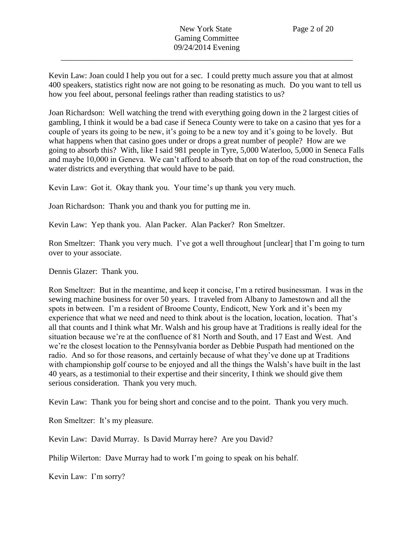Kevin Law: Joan could I help you out for a sec. I could pretty much assure you that at almost 400 speakers, statistics right now are not going to be resonating as much. Do you want to tell us how you feel about, personal feelings rather than reading statistics to us?

Joan Richardson: Well watching the trend with everything going down in the 2 largest cities of gambling, I think it would be a bad case if Seneca County were to take on a casino that yes for a couple of years its going to be new, it's going to be a new toy and it's going to be lovely. But what happens when that casino goes under or drops a great number of people? How are we going to absorb this? With, like I said 981 people in Tyre, 5,000 Waterloo, 5,000 in Seneca Falls and maybe 10,000 in Geneva. We can't afford to absorb that on top of the road construction, the water districts and everything that would have to be paid.

Kevin Law: Got it. Okay thank you. Your time's up thank you very much.

Joan Richardson: Thank you and thank you for putting me in.

Kevin Law: Yep thank you. Alan Packer. Alan Packer? Ron Smeltzer.

Ron Smeltzer: Thank you very much. I've got a well throughout [unclear] that I'm going to turn over to your associate.

Dennis Glazer: Thank you.

Ron Smeltzer: But in the meantime, and keep it concise, I'm a retired businessman. I was in the sewing machine business for over 50 years. I traveled from Albany to Jamestown and all the spots in between. I'm a resident of Broome County, Endicott, New York and it's been my experience that what we need and need to think about is the location, location, location. That's all that counts and I think what Mr. Walsh and his group have at Traditions is really ideal for the situation because we're at the confluence of 81 North and South, and 17 East and West. And we're the closest location to the Pennsylvania border as Debbie Puspath had mentioned on the radio. And so for those reasons, and certainly because of what they've done up at Traditions with championship golf course to be enjoyed and all the things the Walsh's have built in the last 40 years, as a testimonial to their expertise and their sincerity, I think we should give them serious consideration. Thank you very much.

Kevin Law: Thank you for being short and concise and to the point. Thank you very much.

Ron Smeltzer: It's my pleasure.

Kevin Law: David Murray. Is David Murray here? Are you David?

Philip Wilerton: Dave Murray had to work I'm going to speak on his behalf.

Kevin Law: I'm sorry?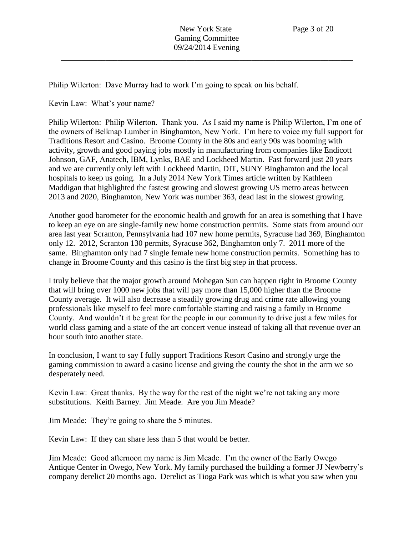Philip Wilerton: Dave Murray had to work I'm going to speak on his behalf.

Kevin Law: What's your name?

Philip Wilerton: Philip Wilerton. Thank you. As I said my name is Philip Wilerton, I'm one of the owners of Belknap Lumber in Binghamton, New York. I'm here to voice my full support for Traditions Resort and Casino. Broome County in the 80s and early 90s was booming with activity, growth and good paying jobs mostly in manufacturing from companies like Endicott Johnson, GAF, Anatech, IBM, Lynks, BAE and Lockheed Martin. Fast forward just 20 years and we are currently only left with Lockheed Martin, DIT, SUNY Binghamton and the local hospitals to keep us going. In a July 2014 New York Times article written by Kathleen Maddigan that highlighted the fastest growing and slowest growing US metro areas between 2013 and 2020, Binghamton, New York was number 363, dead last in the slowest growing.

Another good barometer for the economic health and growth for an area is something that I have to keep an eye on are single-family new home construction permits. Some stats from around our area last year Scranton, Pennsylvania had 107 new home permits, Syracuse had 369, Binghamton only 12. 2012, Scranton 130 permits, Syracuse 362, Binghamton only 7. 2011 more of the same. Binghamton only had 7 single female new home construction permits. Something has to change in Broome County and this casino is the first big step in that process.

I truly believe that the major growth around Mohegan Sun can happen right in Broome County that will bring over 1000 new jobs that will pay more than 15,000 higher than the Broome County average. It will also decrease a steadily growing drug and crime rate allowing young professionals like myself to feel more comfortable starting and raising a family in Broome County. And wouldn't it be great for the people in our community to drive just a few miles for world class gaming and a state of the art concert venue instead of taking all that revenue over an hour south into another state.

In conclusion, I want to say I fully support Traditions Resort Casino and strongly urge the gaming commission to award a casino license and giving the county the shot in the arm we so desperately need.

Kevin Law: Great thanks. By the way for the rest of the night we're not taking any more substitutions. Keith Barney. Jim Meade. Are you Jim Meade?

Jim Meade: They're going to share the 5 minutes.

Kevin Law: If they can share less than 5 that would be better.

Jim Meade: Good afternoon my name is Jim Meade. I'm the owner of the Early Owego Antique Center in Owego, New York. My family purchased the building a former JJ Newberry's company derelict 20 months ago. Derelict as Tioga Park was which is what you saw when you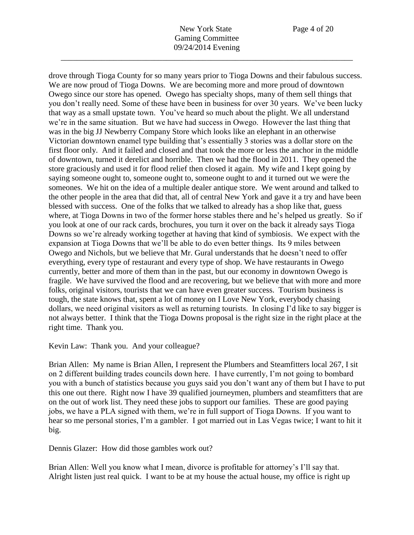drove through Tioga County for so many years prior to Tioga Downs and their fabulous success. We are now proud of Tioga Downs. We are becoming more and more proud of downtown Owego since our store has opened. Owego has specialty shops, many of them sell things that you don't really need. Some of these have been in business for over 30 years. We've been lucky that way as a small upstate town. You've heard so much about the plight. We all understand we're in the same situation. But we have had success in Owego. However the last thing that was in the big JJ Newberry Company Store which looks like an elephant in an otherwise Victorian downtown enamel type building that's essentially 3 stories was a dollar store on the first floor only. And it failed and closed and that took the more or less the anchor in the middle of downtown, turned it derelict and horrible. Then we had the flood in 2011. They opened the store graciously and used it for flood relief then closed it again. My wife and I kept going by saying someone ought to, someone ought to, someone ought to and it turned out we were the someones. We hit on the idea of a multiple dealer antique store. We went around and talked to the other people in the area that did that, all of central New York and gave it a try and have been blessed with success. One of the folks that we talked to already has a shop like that, guess where, at Tioga Downs in two of the former horse stables there and he's helped us greatly. So if you look at one of our rack cards, brochures, you turn it over on the back it already says Tioga Downs so we're already working together at having that kind of symbiosis. We expect with the expansion at Tioga Downs that we'll be able to do even better things. Its 9 miles between Owego and Nichols, but we believe that Mr. Gural understands that he doesn't need to offer everything, every type of restaurant and every type of shop. We have restaurants in Owego currently, better and more of them than in the past, but our economy in downtown Owego is fragile. We have survived the flood and are recovering, but we believe that with more and more folks, original visitors, tourists that we can have even greater success. Tourism business is tough, the state knows that, spent a lot of money on I Love New York, everybody chasing dollars, we need original visitors as well as returning tourists. In closing I'd like to say bigger is not always better. I think that the Tioga Downs proposal is the right size in the right place at the right time. Thank you.

Kevin Law: Thank you. And your colleague?

Brian Allen: My name is Brian Allen, I represent the Plumbers and Steamfitters local 267, I sit on 2 different building trades councils down here. I have currently, I'm not going to bombard you with a bunch of statistics because you guys said you don't want any of them but I have to put this one out there. Right now I have 39 qualified journeymen, plumbers and steamfitters that are on the out of work list. They need these jobs to support our families. These are good paying jobs, we have a PLA signed with them, we're in full support of Tioga Downs. If you want to hear so me personal stories, I'm a gambler. I got married out in Las Vegas twice; I want to hit it big.

Dennis Glazer: How did those gambles work out?

Brian Allen: Well you know what I mean, divorce is profitable for attorney's I'll say that. Alright listen just real quick. I want to be at my house the actual house, my office is right up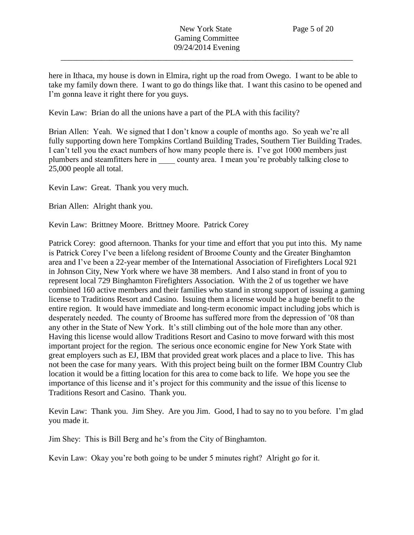here in Ithaca, my house is down in Elmira, right up the road from Owego. I want to be able to take my family down there. I want to go do things like that. I want this casino to be opened and I'm gonna leave it right there for you guys.

Kevin Law: Brian do all the unions have a part of the PLA with this facility?

Brian Allen: Yeah. We signed that I don't know a couple of months ago. So yeah we're all fully supporting down here Tompkins Cortland Building Trades, Southern Tier Building Trades. I can't tell you the exact numbers of how many people there is. I've got 1000 members just plumbers and steamfitters here in county area. I mean you're probably talking close to 25,000 people all total.

Kevin Law: Great. Thank you very much.

Brian Allen: Alright thank you.

Kevin Law: Brittney Moore. Brittney Moore. Patrick Corey

Patrick Corey: good afternoon. Thanks for your time and effort that you put into this. My name is Patrick Corey I've been a lifelong resident of Broome County and the Greater Binghamton area and I've been a 22-year member of the International Association of Firefighters Local 921 in Johnson City, New York where we have 38 members. And I also stand in front of you to represent local 729 Binghamton Firefighters Association. With the 2 of us together we have combined 160 active members and their families who stand in strong support of issuing a gaming license to Traditions Resort and Casino. Issuing them a license would be a huge benefit to the entire region. It would have immediate and long-term economic impact including jobs which is desperately needed. The county of Broome has suffered more from the depression of '08 than any other in the State of New York. It's still climbing out of the hole more than any other. Having this license would allow Traditions Resort and Casino to move forward with this most important project for the region. The serious once economic engine for New York State with great employers such as EJ, IBM that provided great work places and a place to live. This has not been the case for many years. With this project being built on the former IBM Country Club location it would be a fitting location for this area to come back to life. We hope you see the importance of this license and it's project for this community and the issue of this license to Traditions Resort and Casino. Thank you.

Kevin Law: Thank you. Jim Shey. Are you Jim. Good, I had to say no to you before. I'm glad you made it.

Jim Shey: This is Bill Berg and he's from the City of Binghamton.

Kevin Law: Okay you're both going to be under 5 minutes right? Alright go for it.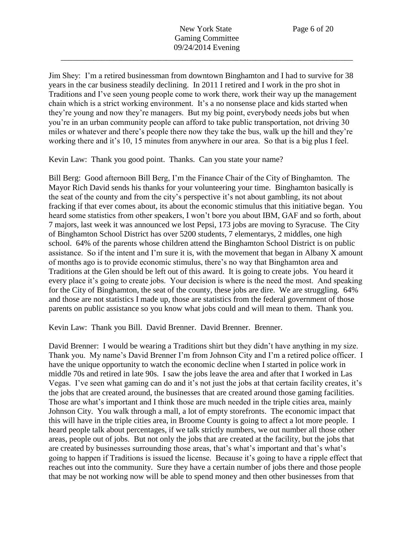Jim Shey: I'm a retired businessman from downtown Binghamton and I had to survive for 38 years in the car business steadily declining. In 2011 I retired and I work in the pro shot in Traditions and I've seen young people come to work there, work their way up the management chain which is a strict working environment. It's a no nonsense place and kids started when they're young and now they're managers. But my big point, everybody needs jobs but when you're in an urban community people can afford to take public transportation, not driving 30 miles or whatever and there's people there now they take the bus, walk up the hill and they're working there and it's 10, 15 minutes from anywhere in our area. So that is a big plus I feel.

Kevin Law: Thank you good point. Thanks. Can you state your name?

Bill Berg: Good afternoon Bill Berg, I'm the Finance Chair of the City of Binghamton. The Mayor Rich David sends his thanks for your volunteering your time. Binghamton basically is the seat of the county and from the city's perspective it's not about gambling, its not about fracking if that ever comes about, its about the economic stimulus that this initiative began. You heard some statistics from other speakers, I won't bore you about IBM, GAF and so forth, about 7 majors, last week it was announced we lost Pepsi, 173 jobs are moving to Syracuse. The City of Binghamton School District has over 5200 students, 7 elementarys, 2 middles, one high school. 64% of the parents whose children attend the Binghamton School District is on public assistance. So if the intent and I'm sure it is, with the movement that began in Albany X amount of months ago is to provide economic stimulus, there's no way that Binghamton area and Traditions at the Glen should be left out of this award. It is going to create jobs. You heard it every place it's going to create jobs. Your decision is where is the need the most. And speaking for the City of Binghamton, the seat of the county, these jobs are dire. We are struggling. 64% and those are not statistics I made up, those are statistics from the federal government of those parents on public assistance so you know what jobs could and will mean to them. Thank you.

Kevin Law: Thank you Bill. David Brenner. David Brenner. Brenner.

David Brenner: I would be wearing a Traditions shirt but they didn't have anything in my size. Thank you. My name's David Brenner I'm from Johnson City and I'm a retired police officer. I have the unique opportunity to watch the economic decline when I started in police work in middle 70s and retired in late 90s. I saw the jobs leave the area and after that I worked in Las Vegas. I've seen what gaming can do and it's not just the jobs at that certain facility creates, it's the jobs that are created around, the businesses that are created around those gaming facilities. Those are what's important and I think those are much needed in the triple cities area, mainly Johnson City. You walk through a mall, a lot of empty storefronts. The economic impact that this will have in the triple cities area, in Broome County is going to affect a lot more people. I heard people talk about percentages, if we talk strictly numbers, we out number all those other areas, people out of jobs. But not only the jobs that are created at the facility, but the jobs that are created by businesses surrounding those areas, that's what's important and that's what's going to happen if Traditions is issued the license. Because it's going to have a ripple effect that reaches out into the community. Sure they have a certain number of jobs there and those people that may be not working now will be able to spend money and then other businesses from that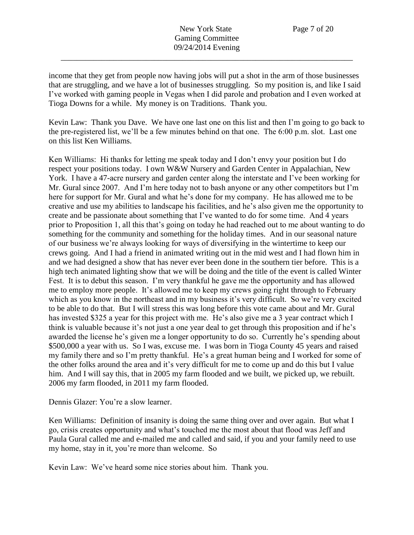income that they get from people now having jobs will put a shot in the arm of those businesses that are struggling, and we have a lot of businesses struggling. So my position is, and like I said I've worked with gaming people in Vegas when I did parole and probation and I even worked at Tioga Downs for a while. My money is on Traditions. Thank you.

Kevin Law: Thank you Dave. We have one last one on this list and then I'm going to go back to the pre-registered list, we'll be a few minutes behind on that one. The 6:00 p.m. slot. Last one on this list Ken Williams.

Ken Williams: Hi thanks for letting me speak today and I don't envy your position but I do respect your positions today. I own W&W Nursery and Garden Center in Appalachian, New York. I have a 47-acre nursery and garden center along the interstate and I've been working for Mr. Gural since 2007. And I'm here today not to bash anyone or any other competitors but I'm here for support for Mr. Gural and what he's done for my company. He has allowed me to be creative and use my abilities to landscape his facilities, and he's also given me the opportunity to create and be passionate about something that I've wanted to do for some time. And 4 years prior to Proposition 1, all this that's going on today he had reached out to me about wanting to do something for the community and something for the holiday times. And in our seasonal nature of our business we're always looking for ways of diversifying in the wintertime to keep our crews going. And I had a friend in animated writing out in the mid west and I had flown him in and we had designed a show that has never ever been done in the southern tier before. This is a high tech animated lighting show that we will be doing and the title of the event is called Winter Fest. It is to debut this season. I'm very thankful he gave me the opportunity and has allowed me to employ more people. It's allowed me to keep my crews going right through to February which as you know in the northeast and in my business it's very difficult. So we're very excited to be able to do that. But I will stress this was long before this vote came about and Mr. Gural has invested \$325 a year for this project with me. He's also give me a 3 year contract which I think is valuable because it's not just a one year deal to get through this proposition and if he's awarded the license he's given me a longer opportunity to do so. Currently he's spending about \$500,000 a year with us. So I was, excuse me. I was born in Tioga County 45 years and raised my family there and so I'm pretty thankful. He's a great human being and I worked for some of the other folks around the area and it's very difficult for me to come up and do this but I value him. And I will say this, that in 2005 my farm flooded and we built, we picked up, we rebuilt. 2006 my farm flooded, in 2011 my farm flooded.

Dennis Glazer: You're a slow learner.

Ken Williams: Definition of insanity is doing the same thing over and over again. But what I go, crisis creates opportunity and what's touched me the most about that flood was Jeff and Paula Gural called me and e-mailed me and called and said, if you and your family need to use my home, stay in it, you're more than welcome. So

Kevin Law: We've heard some nice stories about him. Thank you.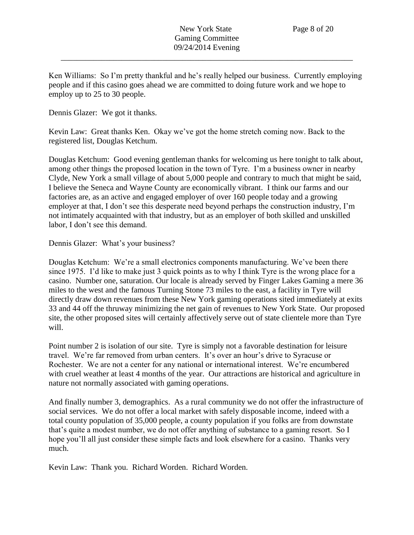Ken Williams: So I'm pretty thankful and he's really helped our business. Currently employing people and if this casino goes ahead we are committed to doing future work and we hope to employ up to 25 to 30 people.

Dennis Glazer: We got it thanks.

Kevin Law: Great thanks Ken. Okay we've got the home stretch coming now. Back to the registered list, Douglas Ketchum.

Douglas Ketchum: Good evening gentleman thanks for welcoming us here tonight to talk about, among other things the proposed location in the town of Tyre. I'm a business owner in nearby Clyde, New York a small village of about 5,000 people and contrary to much that might be said, I believe the Seneca and Wayne County are economically vibrant. I think our farms and our factories are, as an active and engaged employer of over 160 people today and a growing employer at that, I don't see this desperate need beyond perhaps the construction industry, I'm not intimately acquainted with that industry, but as an employer of both skilled and unskilled labor, I don't see this demand.

Dennis Glazer: What's your business?

Douglas Ketchum: We're a small electronics components manufacturing. We've been there since 1975. I'd like to make just 3 quick points as to why I think Tyre is the wrong place for a casino. Number one, saturation. Our locale is already served by Finger Lakes Gaming a mere 36 miles to the west and the famous Turning Stone 73 miles to the east, a facility in Tyre will directly draw down revenues from these New York gaming operations sited immediately at exits 33 and 44 off the thruway minimizing the net gain of revenues to New York State. Our proposed site, the other proposed sites will certainly affectively serve out of state clientele more than Tyre will.

Point number 2 is isolation of our site. Tyre is simply not a favorable destination for leisure travel. We're far removed from urban centers. It's over an hour's drive to Syracuse or Rochester. We are not a center for any national or international interest. We're encumbered with cruel weather at least 4 months of the year. Our attractions are historical and agriculture in nature not normally associated with gaming operations.

And finally number 3, demographics. As a rural community we do not offer the infrastructure of social services. We do not offer a local market with safely disposable income, indeed with a total county population of 35,000 people, a county population if you folks are from downstate that's quite a modest number, we do not offer anything of substance to a gaming resort. So I hope you'll all just consider these simple facts and look elsewhere for a casino. Thanks very much.

Kevin Law: Thank you. Richard Worden. Richard Worden.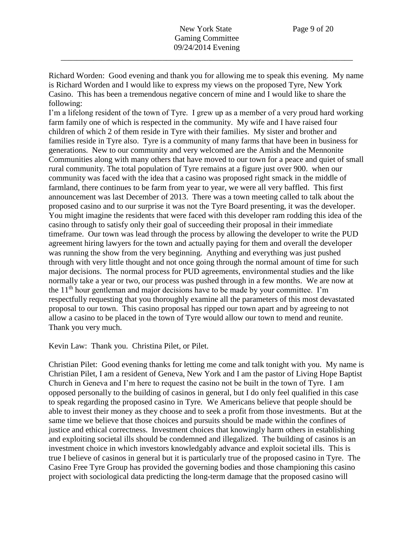Richard Worden: Good evening and thank you for allowing me to speak this evening. My name is Richard Worden and I would like to express my views on the proposed Tyre, New York Casino. This has been a tremendous negative concern of mine and I would like to share the following:

I'm a lifelong resident of the town of Tyre. I grew up as a member of a very proud hard working farm family one of which is respected in the community. My wife and I have raised four children of which 2 of them reside in Tyre with their families. My sister and brother and families reside in Tyre also. Tyre is a community of many farms that have been in business for generations. New to our community and very welcomed are the Amish and the Mennonite Communities along with many others that have moved to our town for a peace and quiet of small rural community. The total population of Tyre remains at a figure just over 900. when our community was faced with the idea that a casino was proposed right smack in the middle of farmland, there continues to be farm from year to year, we were all very baffled. This first announcement was last December of 2013. There was a town meeting called to talk about the proposed casino and to our surprise it was not the Tyre Board presenting, it was the developer. You might imagine the residents that were faced with this developer ram rodding this idea of the casino through to satisfy only their goal of succeeding their proposal in their immediate timeframe. Our town was lead through the process by allowing the developer to write the PUD agreement hiring lawyers for the town and actually paying for them and overall the developer was running the show from the very beginning. Anything and everything was just pushed through with very little thought and not once going through the normal amount of time for such major decisions. The normal process for PUD agreements, environmental studies and the like normally take a year or two, our process was pushed through in a few months. We are now at the  $11<sup>th</sup>$  hour gentleman and major decisions have to be made by your committee. I'm respectfully requesting that you thoroughly examine all the parameters of this most devastated proposal to our town. This casino proposal has ripped our town apart and by agreeing to not allow a casino to be placed in the town of Tyre would allow our town to mend and reunite. Thank you very much.

Kevin Law: Thank you. Christina Pilet, or Pilet.

Christian Pilet: Good evening thanks for letting me come and talk tonight with you. My name is Christian Pilet, I am a resident of Geneva, New York and I am the pastor of Living Hope Baptist Church in Geneva and I'm here to request the casino not be built in the town of Tyre. I am opposed personally to the building of casinos in general, but I do only feel qualified in this case to speak regarding the proposed casino in Tyre. We Americans believe that people should be able to invest their money as they choose and to seek a profit from those investments. But at the same time we believe that those choices and pursuits should be made within the confines of justice and ethical correctness. Investment choices that knowingly harm others in establishing and exploiting societal ills should be condemned and illegalized. The building of casinos is an investment choice in which investors knowledgably advance and exploit societal ills. This is true I believe of casinos in general but it is particularly true of the proposed casino in Tyre. The Casino Free Tyre Group has provided the governing bodies and those championing this casino project with sociological data predicting the long-term damage that the proposed casino will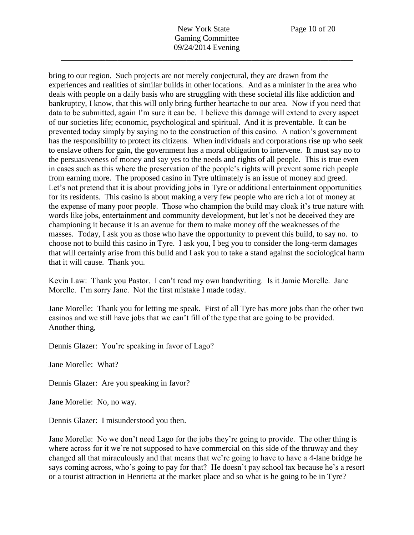bring to our region. Such projects are not merely conjectural, they are drawn from the experiences and realities of similar builds in other locations. And as a minister in the area who deals with people on a daily basis who are struggling with these societal ills like addiction and bankruptcy, I know, that this will only bring further heartache to our area. Now if you need that data to be submitted, again I'm sure it can be. I believe this damage will extend to every aspect of our societies life; economic, psychological and spiritual. And it is preventable. It can be prevented today simply by saying no to the construction of this casino. A nation's government has the responsibility to protect its citizens. When individuals and corporations rise up who seek to enslave others for gain, the government has a moral obligation to intervene. It must say no to the persuasiveness of money and say yes to the needs and rights of all people. This is true even in cases such as this where the preservation of the people's rights will prevent some rich people from earning more. The proposed casino in Tyre ultimately is an issue of money and greed. Let's not pretend that it is about providing jobs in Tyre or additional entertainment opportunities for its residents. This casino is about making a very few people who are rich a lot of money at the expense of many poor people. Those who champion the build may cloak it's true nature with words like jobs, entertainment and community development, but let's not be deceived they are championing it because it is an avenue for them to make money off the weaknesses of the masses. Today, I ask you as those who have the opportunity to prevent this build, to say no. to choose not to build this casino in Tyre. I ask you, I beg you to consider the long-term damages that will certainly arise from this build and I ask you to take a stand against the sociological harm that it will cause. Thank you.

Kevin Law: Thank you Pastor. I can't read my own handwriting. Is it Jamie Morelle. Jane Morelle. I'm sorry Jane. Not the first mistake I made today.

Jane Morelle: Thank you for letting me speak. First of all Tyre has more jobs than the other two casinos and we still have jobs that we can't fill of the type that are going to be provided. Another thing,

Dennis Glazer: You're speaking in favor of Lago?

Jane Morelle: What?

Dennis Glazer: Are you speaking in favor?

Jane Morelle: No, no way.

Dennis Glazer: I misunderstood you then.

Jane Morelle: No we don't need Lago for the jobs they're going to provide. The other thing is where across for it we're not supposed to have commercial on this side of the thruway and they changed all that miraculously and that means that we're going to have to have a 4-lane bridge he says coming across, who's going to pay for that? He doesn't pay school tax because he's a resort or a tourist attraction in Henrietta at the market place and so what is he going to be in Tyre?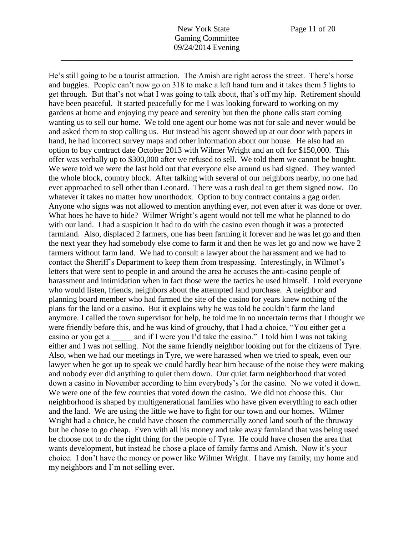He's still going to be a tourist attraction. The Amish are right across the street. There's horse and buggies. People can't now go on 318 to make a left hand turn and it takes them 5 lights to get through. But that's not what I was going to talk about, that's off my hip. Retirement should have been peaceful. It started peacefully for me I was looking forward to working on my gardens at home and enjoying my peace and serenity but then the phone calls start coming wanting us to sell our home. We told one agent our home was not for sale and never would be and asked them to stop calling us. But instead his agent showed up at our door with papers in hand, he had incorrect survey maps and other information about our house. He also had an option to buy contract date October 2013 with Wilmer Wright and an off for \$150,000. This offer was verbally up to \$300,000 after we refused to sell. We told them we cannot be bought. We were told we were the last hold out that everyone else around us had signed. They wanted the whole block, country block. After talking with several of our neighbors nearby, no one had ever approached to sell other than Leonard. There was a rush deal to get them signed now. Do whatever it takes no matter how unorthodox. Option to buy contract contains a gag order. Anyone who signs was not allowed to mention anything ever, not even after it was done or over. What hoes he have to hide? Wilmer Wright's agent would not tell me what he planned to do with our land. I had a suspicion it had to do with the casino even though it was a protected farmland. Also, displaced 2 farmers, one has been farming it forever and he was let go and then the next year they had somebody else come to farm it and then he was let go and now we have 2 farmers without farm land. We had to consult a lawyer about the harassment and we had to contact the Sheriff's Department to keep them from trespassing. Interestingly, in Wilmot's letters that were sent to people in and around the area he accuses the anti-casino people of harassment and intimidation when in fact those were the tactics he used himself. I told everyone who would listen, friends, neighbors about the attempted land purchase. A neighbor and planning board member who had farmed the site of the casino for years knew nothing of the plans for the land or a casino. But it explains why he was told he couldn't farm the land anymore. I called the town supervisor for help, he told me in no uncertain terms that I thought we were friendly before this, and he was kind of grouchy, that I had a choice, "You either get a casino or you get a \_\_\_\_\_ and if I were you I'd take the casino." I told him I was not taking either and I was not selling. Not the same friendly neighbor looking out for the citizens of Tyre. Also, when we had our meetings in Tyre, we were harassed when we tried to speak, even our lawyer when he got up to speak we could hardly hear him because of the noise they were making and nobody ever did anything to quiet them down. Our quiet farm neighborhood that voted down a casino in November according to him everybody's for the casino. No we voted it down. We were one of the few counties that voted down the casino. We did not choose this. Our neighborhood is shaped by multigenerational families who have given everything to each other and the land. We are using the little we have to fight for our town and our homes. Wilmer Wright had a choice, he could have chosen the commercially zoned land south of the thruway but he chose to go cheap. Even with all his money and take away farmland that was being used he choose not to do the right thing for the people of Tyre. He could have chosen the area that wants development, but instead he chose a place of family farms and Amish. Now it's your choice. I don't have the money or power like Wilmer Wright. I have my family, my home and my neighbors and I'm not selling ever.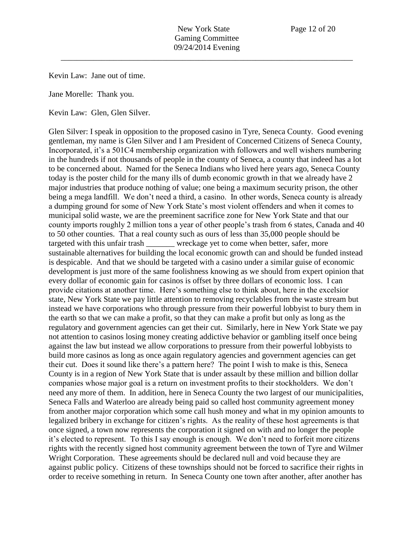Kevin Law: Jane out of time.

Jane Morelle: Thank you.

Kevin Law: Glen, Glen Silver.

Glen Silver: I speak in opposition to the proposed casino in Tyre, Seneca County. Good evening gentleman, my name is Glen Silver and I am President of Concerned Citizens of Seneca County, Incorporated, it's a 501C4 membership organization with followers and well wishers numbering in the hundreds if not thousands of people in the county of Seneca, a county that indeed has a lot to be concerned about. Named for the Seneca Indians who lived here years ago, Seneca County today is the poster child for the many ills of dumb economic growth in that we already have 2 major industries that produce nothing of value; one being a maximum security prison, the other being a mega landfill. We don't need a third, a casino. In other words, Seneca county is already a dumping ground for some of New York State's most violent offenders and when it comes to municipal solid waste, we are the preeminent sacrifice zone for New York State and that our county imports roughly 2 million tons a year of other people's trash from 6 states, Canada and 40 to 50 other counties. That a real county such as ours of less than 35,000 people should be targeted with this unfair trash wreckage yet to come when better, safer, more sustainable alternatives for building the local economic growth can and should be funded instead is despicable. And that we should be targeted with a casino under a similar guise of economic development is just more of the same foolishness knowing as we should from expert opinion that every dollar of economic gain for casinos is offset by three dollars of economic loss. I can provide citations at another time. Here's something else to think about, here in the excelsior state, New York State we pay little attention to removing recyclables from the waste stream but instead we have corporations who through pressure from their powerful lobbyist to bury them in the earth so that we can make a profit, so that they can make a profit but only as long as the regulatory and government agencies can get their cut. Similarly, here in New York State we pay not attention to casinos losing money creating addictive behavior or gambling itself once being against the law but instead we allow corporations to pressure from their powerful lobbyists to build more casinos as long as once again regulatory agencies and government agencies can get their cut. Does it sound like there's a pattern here? The point I wish to make is this, Seneca County is in a region of New York State that is under assault by these million and billion dollar companies whose major goal is a return on investment profits to their stockholders. We don't need any more of them. In addition, here in Seneca County the two largest of our municipalities, Seneca Falls and Waterloo are already being paid so called host community agreement money from another major corporation which some call hush money and what in my opinion amounts to legalized bribery in exchange for citizen's rights. As the reality of these host agreements is that once signed, a town now represents the corporation it signed on with and no longer the people it's elected to represent. To this I say enough is enough. We don't need to forfeit more citizens rights with the recently signed host community agreement between the town of Tyre and Wilmer Wright Corporation. These agreements should be declared null and void because they are against public policy. Citizens of these townships should not be forced to sacrifice their rights in order to receive something in return. In Seneca County one town after another, after another has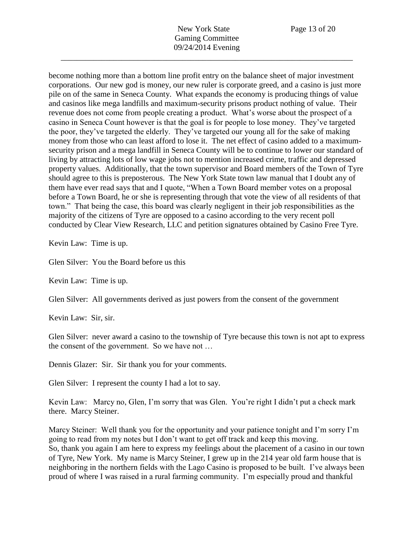become nothing more than a bottom line profit entry on the balance sheet of major investment corporations. Our new god is money, our new ruler is corporate greed, and a casino is just more pile on of the same in Seneca County. What expands the economy is producing things of value and casinos like mega landfills and maximum-security prisons product nothing of value. Their revenue does not come from people creating a product. What's worse about the prospect of a casino in Seneca Count however is that the goal is for people to lose money. They've targeted the poor, they've targeted the elderly. They've targeted our young all for the sake of making money from those who can least afford to lose it. The net effect of casino added to a maximumsecurity prison and a mega landfill in Seneca County will be to continue to lower our standard of living by attracting lots of low wage jobs not to mention increased crime, traffic and depressed property values. Additionally, that the town supervisor and Board members of the Town of Tyre should agree to this is preposterous. The New York State town law manual that I doubt any of them have ever read says that and I quote, "When a Town Board member votes on a proposal before a Town Board, he or she is representing through that vote the view of all residents of that town." That being the case, this board was clearly negligent in their job responsibilities as the majority of the citizens of Tyre are opposed to a casino according to the very recent poll conducted by Clear View Research, LLC and petition signatures obtained by Casino Free Tyre.

Kevin Law: Time is up.

Glen Silver: You the Board before us this

Kevin Law: Time is up.

Glen Silver: All governments derived as just powers from the consent of the government

Kevin Law: Sir, sir.

Glen Silver: never award a casino to the township of Tyre because this town is not apt to express the consent of the government. So we have not …

Dennis Glazer: Sir. Sir thank you for your comments.

Glen Silver: I represent the county I had a lot to say.

Kevin Law: Marcy no, Glen, I'm sorry that was Glen. You're right I didn't put a check mark there. Marcy Steiner.

Marcy Steiner: Well thank you for the opportunity and your patience tonight and I'm sorry I'm going to read from my notes but I don't want to get off track and keep this moving. So, thank you again I am here to express my feelings about the placement of a casino in our town of Tyre, New York. My name is Marcy Steiner, I grew up in the 214 year old farm house that is neighboring in the northern fields with the Lago Casino is proposed to be built. I've always been proud of where I was raised in a rural farming community. I'm especially proud and thankful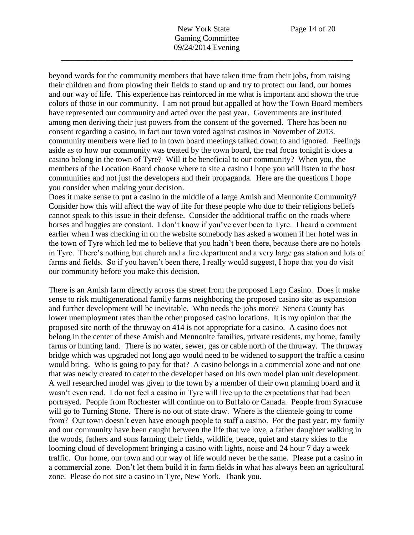New York State Page 14 of 20 Gaming Committee 09/24/2014 Evening

\_\_\_\_\_\_\_\_\_\_\_\_\_\_\_\_\_\_\_\_\_\_\_\_\_\_\_\_\_\_\_\_\_\_\_\_\_\_\_\_\_\_\_\_\_\_\_\_\_\_\_\_\_\_\_\_\_\_\_\_\_\_\_\_\_\_\_\_\_\_\_\_

beyond words for the community members that have taken time from their jobs, from raising their children and from plowing their fields to stand up and try to protect our land, our homes and our way of life. This experience has reinforced in me what is important and shown the true colors of those in our community. I am not proud but appalled at how the Town Board members have represented our community and acted over the past year. Governments are instituted among men deriving their just powers from the consent of the governed. There has been no consent regarding a casino, in fact our town voted against casinos in November of 2013. community members were lied to in town board meetings talked down to and ignored. Feelings aside as to how our community was treated by the town board, the real focus tonight is does a casino belong in the town of Tyre? Will it be beneficial to our community? When you, the members of the Location Board choose where to site a casino I hope you will listen to the host communities and not just the developers and their propaganda. Here are the questions I hope you consider when making your decision.

Does it make sense to put a casino in the middle of a large Amish and Mennonite Community? Consider how this will affect the way of life for these people who due to their religions beliefs cannot speak to this issue in their defense. Consider the additional traffic on the roads where horses and buggies are constant. I don't know if you've ever been to Tyre. I heard a comment earlier when I was checking in on the website somebody has asked a women if her hotel was in the town of Tyre which led me to believe that you hadn't been there, because there are no hotels in Tyre. There's nothing but church and a fire department and a very large gas station and lots of farms and fields. So if you haven't been there, I really would suggest, I hope that you do visit our community before you make this decision.

There is an Amish farm directly across the street from the proposed Lago Casino. Does it make sense to risk multigenerational family farms neighboring the proposed casino site as expansion and further development will be inevitable. Who needs the jobs more? Seneca County has lower unemployment rates than the other proposed casino locations. It is my opinion that the proposed site north of the thruway on 414 is not appropriate for a casino. A casino does not belong in the center of these Amish and Mennonite families, private residents, my home, family farms or hunting land. There is no water, sewer, gas or cable north of the thruway. The thruway bridge which was upgraded not long ago would need to be widened to support the traffic a casino would bring. Who is going to pay for that? A casino belongs in a commercial zone and not one that was newly created to cater to the developer based on his own model plan unit development. A well researched model was given to the town by a member of their own planning board and it wasn't even read. I do not feel a casino in Tyre will live up to the expectations that had been portrayed. People from Rochester will continue on to Buffalo or Canada. People from Syracuse will go to Turning Stone. There is no out of state draw. Where is the clientele going to come from? Our town doesn't even have enough people to staff a casino. For the past year, my family and our community have been caught between the life that we love, a father daughter walking in the woods, fathers and sons farming their fields, wildlife, peace, quiet and starry skies to the looming cloud of development bringing a casino with lights, noise and 24 hour 7 day a week traffic. Our home, our town and our way of life would never be the same. Please put a casino in a commercial zone. Don't let them build it in farm fields in what has always been an agricultural zone. Please do not site a casino in Tyre, New York. Thank you.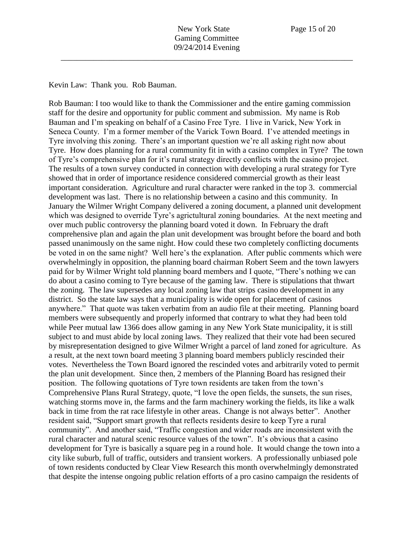Kevin Law: Thank you. Rob Bauman.

Rob Bauman: I too would like to thank the Commissioner and the entire gaming commission staff for the desire and opportunity for public comment and submission. My name is Rob Bauman and I'm speaking on behalf of a Casino Free Tyre. I live in Varick, New York in Seneca County. I'm a former member of the Varick Town Board. I've attended meetings in Tyre involving this zoning. There's an important question we're all asking right now about Tyre. How does planning for a rural community fit in with a casino complex in Tyre? The town of Tyre's comprehensive plan for it's rural strategy directly conflicts with the casino project. The results of a town survey conducted in connection with developing a rural strategy for Tyre showed that in order of importance residence considered commercial growth as their least important consideration. Agriculture and rural character were ranked in the top 3. commercial development was last. There is no relationship between a casino and this community. In January the Wilmer Wright Company delivered a zoning document, a planned unit development which was designed to override Tyre's agrictultural zoning boundaries. At the next meeting and over much public controversy the planning board voted it down. In February the draft comprehensive plan and again the plan unit development was brought before the board and both passed unanimously on the same night. How could these two completely conflicting documents be voted in on the same night? Well here's the explanation. After public comments which were overwhelmingly in opposition, the planning board chairman Robert Seem and the town lawyers paid for by Wilmer Wright told planning board members and I quote, "There's nothing we can do about a casino coming to Tyre because of the gaming law. There is stipulations that thwart the zoning. The law supersedes any local zoning law that strips casino development in any district. So the state law says that a municipality is wide open for placement of casinos anywhere." That quote was taken verbatim from an audio file at their meeting. Planning board members were subsequently and properly informed that contrary to what they had been told while Peer mutual law 1366 does allow gaming in any New York State municipality, it is still subject to and must abide by local zoning laws. They realized that their vote had been secured by misrepresentation designed to give Wilmer Wright a parcel of land zoned for agriculture. As a result, at the next town board meeting 3 planning board members publicly rescinded their votes. Nevertheless the Town Board ignored the rescinded votes and arbitrarily voted to permit the plan unit development. Since then, 2 members of the Planning Board has resigned their position. The following quotations of Tyre town residents are taken from the town's Comprehensive Plans Rural Strategy, quote, "I love the open fields, the sunsets, the sun rises, watching storms move in, the farms and the farm machinery working the fields, its like a walk back in time from the rat race lifestyle in other areas. Change is not always better". Another resident said, "Support smart growth that reflects residents desire to keep Tyre a rural community". And another said, "Traffic congestion and wider roads are inconsistent with the rural character and natural scenic resource values of the town". It's obvious that a casino development for Tyre is basically a square peg in a round hole. It would change the town into a city like suburb, full of traffic, outsiders and transient workers. A professionally unbiased pole of town residents conducted by Clear View Research this month overwhelmingly demonstrated that despite the intense ongoing public relation efforts of a pro casino campaign the residents of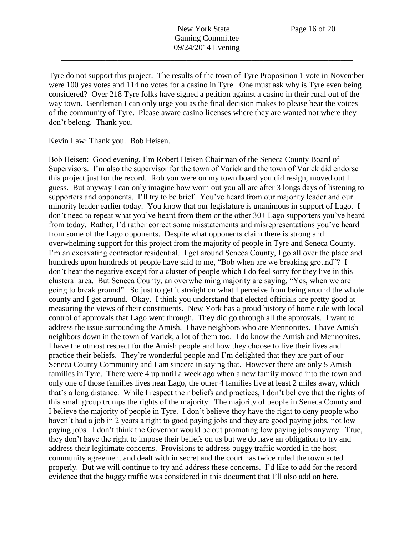Tyre do not support this project. The results of the town of Tyre Proposition 1 vote in November were 100 yes votes and 114 no votes for a casino in Tyre. One must ask why is Tyre even being considered? Over 218 Tyre folks have signed a petition against a casino in their rural out of the way town. Gentleman I can only urge you as the final decision makes to please hear the voices of the community of Tyre. Please aware casino licenses where they are wanted not where they don't belong. Thank you.

Kevin Law: Thank you. Bob Heisen.

Bob Heisen: Good evening, I'm Robert Heisen Chairman of the Seneca County Board of Supervisors. I'm also the supervisor for the town of Varick and the town of Varick did endorse this project just for the record. Rob you were on my town board you did resign, moved out I guess. But anyway I can only imagine how worn out you all are after 3 longs days of listening to supporters and opponents. I'll try to be brief. You've heard from our majority leader and our minority leader earlier today. You know that our legislature is unanimous in support of Lago. I don't need to repeat what you've heard from them or the other 30+ Lago supporters you've heard from today. Rather, I'd rather correct some misstatements and misrepresentations you've heard from some of the Lago opponents. Despite what opponents claim there is strong and overwhelming support for this project from the majority of people in Tyre and Seneca County. I'm an excavating contractor residential. I get around Seneca County, I go all over the place and hundreds upon hundreds of people have said to me, "Bob when are we breaking ground"? I don't hear the negative except for a cluster of people which I do feel sorry for they live in this clusteral area. But Seneca County, an overwhelming majority are saying, "Yes, when we are going to break ground". So just to get it straight on what I perceive from being around the whole county and I get around. Okay. I think you understand that elected officials are pretty good at measuring the views of their constituents. New York has a proud history of home rule with local control of approvals that Lago went through. They did go through all the approvals. I want to address the issue surrounding the Amish. I have neighbors who are Mennonites. I have Amish neighbors down in the town of Varick, a lot of them too. I do know the Amish and Mennonites. I have the utmost respect for the Amish people and how they choose to live their lives and practice their beliefs. They're wonderful people and I'm delighted that they are part of our Seneca County Community and I am sincere in saying that. However there are only 5 Amish families in Tyre. There were 4 up until a week ago when a new family moved into the town and only one of those families lives near Lago, the other 4 families live at least 2 miles away, which that's a long distance. While I respect their beliefs and practices, I don't believe that the rights of this small group trumps the rights of the majority. The majority of people in Seneca County and I believe the majority of people in Tyre. I don't believe they have the right to deny people who haven't had a job in 2 years a right to good paying jobs and they are good paying jobs, not low paying jobs. I don't think the Governor would be out promoting low paying jobs anyway. True, they don't have the right to impose their beliefs on us but we do have an obligation to try and address their legitimate concerns. Provisions to address buggy traffic worded in the host community agreement and dealt with in secret and the court has twice ruled the town acted properly. But we will continue to try and address these concerns. I'd like to add for the record evidence that the buggy traffic was considered in this document that I'll also add on here.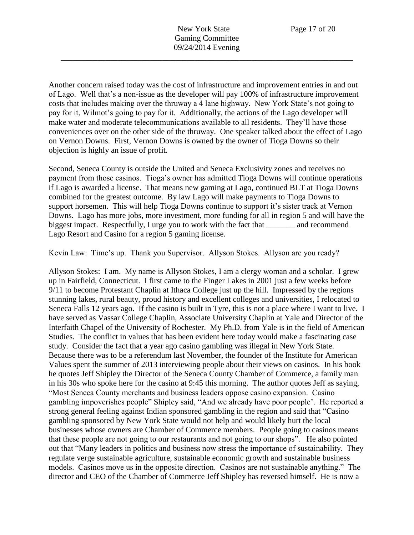Another concern raised today was the cost of infrastructure and improvement entries in and out of Lago. Well that's a non-issue as the developer will pay 100% of infrastructure improvement costs that includes making over the thruway a 4 lane highway. New York State's not going to pay for it, Wilmot's going to pay for it. Additionally, the actions of the Lago developer will make water and moderate telecommunications available to all residents. They'll have those conveniences over on the other side of the thruway. One speaker talked about the effect of Lago on Vernon Downs. First, Vernon Downs is owned by the owner of Tioga Downs so their objection is highly an issue of profit.

Second, Seneca County is outside the United and Seneca Exclusivity zones and receives no payment from those casinos. Tioga's owner has admitted Tioga Downs will continue operations if Lago is awarded a license. That means new gaming at Lago, continued BLT at Tioga Downs combined for the greatest outcome. By law Lago will make payments to Tioga Downs to support horsemen. This will help Tioga Downs continue to support it's sister track at Vernon Downs. Lago has more jobs, more investment, more funding for all in region 5 and will have the biggest impact. Respectfully, I urge you to work with the fact that \_\_\_\_\_\_\_\_ and recommend Lago Resort and Casino for a region 5 gaming license.

Kevin Law: Time's up. Thank you Supervisor. Allyson Stokes. Allyson are you ready?

Allyson Stokes: I am. My name is Allyson Stokes, I am a clergy woman and a scholar. I grew up in Fairfield, Connecticut. I first came to the Finger Lakes in 2001 just a few weeks before 9/11 to become Protestant Chaplin at Ithaca College just up the hill. Impressed by the regions stunning lakes, rural beauty, proud history and excellent colleges and universities, I relocated to Seneca Falls 12 years ago. If the casino is built in Tyre, this is not a place where I want to live. I have served as Vassar College Chaplin, Associate University Chaplin at Yale and Director of the Interfaith Chapel of the University of Rochester. My Ph.D. from Yale is in the field of American Studies. The conflict in values that has been evident here today would make a fascinating case study. Consider the fact that a year ago casino gambling was illegal in New York State. Because there was to be a referendum last November, the founder of the Institute for American Values spent the summer of 2013 interviewing people about their views on casinos. In his book he quotes Jeff Shipley the Director of the Seneca County Chamber of Commerce, a family man in his 30s who spoke here for the casino at 9:45 this morning. The author quotes Jeff as saying, "Most Seneca County merchants and business leaders oppose casino expansion. Casino gambling impoverishes people" Shipley said, "And we already have poor people'. He reported a strong general feeling against Indian sponsored gambling in the region and said that "Casino gambling sponsored by New York State would not help and would likely hurt the local businesses whose owners are Chamber of Commerce members. People going to casinos means that these people are not going to our restaurants and not going to our shops". He also pointed out that "Many leaders in politics and business now stress the importance of sustainability. They regulate verge sustainable agriculture, sustainable economic growth and sustainable business models. Casinos move us in the opposite direction. Casinos are not sustainable anything." The director and CEO of the Chamber of Commerce Jeff Shipley has reversed himself. He is now a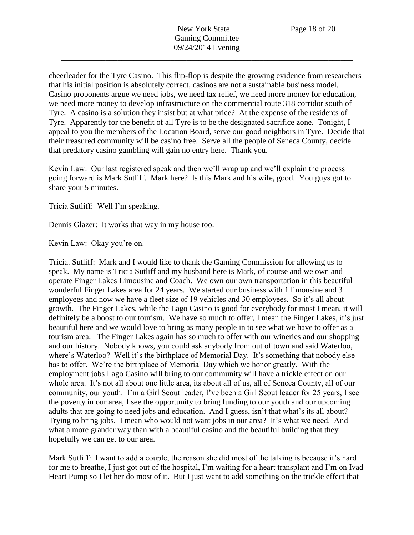cheerleader for the Tyre Casino. This flip-flop is despite the growing evidence from researchers that his initial position is absolutely correct, casinos are not a sustainable business model. Casino proponents argue we need jobs, we need tax relief, we need more money for education, we need more money to develop infrastructure on the commercial route 318 corridor south of Tyre. A casino is a solution they insist but at what price? At the expense of the residents of Tyre. Apparently for the benefit of all Tyre is to be the designated sacrifice zone. Tonight, I appeal to you the members of the Location Board, serve our good neighbors in Tyre. Decide that their treasured community will be casino free. Serve all the people of Seneca County, decide that predatory casino gambling will gain no entry here. Thank you.

Kevin Law: Our last registered speak and then we'll wrap up and we'll explain the process going forward is Mark Sutliff. Mark here? Is this Mark and his wife, good. You guys got to share your 5 minutes.

Tricia Sutliff: Well I'm speaking.

Dennis Glazer: It works that way in my house too.

Kevin Law: Okay you're on.

Tricia. Sutliff: Mark and I would like to thank the Gaming Commission for allowing us to speak. My name is Tricia Sutliff and my husband here is Mark, of course and we own and operate Finger Lakes Limousine and Coach. We own our own transportation in this beautiful wonderful Finger Lakes area for 24 years. We started our business with 1 limousine and 3 employees and now we have a fleet size of 19 vehicles and 30 employees. So it's all about growth. The Finger Lakes, while the Lago Casino is good for everybody for most I mean, it will definitely be a boost to our tourism. We have so much to offer, I mean the Finger Lakes, it's just beautiful here and we would love to bring as many people in to see what we have to offer as a tourism area. The Finger Lakes again has so much to offer with our wineries and our shopping and our history. Nobody knows, you could ask anybody from out of town and said Waterloo, where's Waterloo? Well it's the birthplace of Memorial Day. It's something that nobody else has to offer. We're the birthplace of Memorial Day which we honor greatly. With the employment jobs Lago Casino will bring to our community will have a trickle effect on our whole area. It's not all about one little area, its about all of us, all of Seneca County, all of our community, our youth. I'm a Girl Scout leader, I've been a Girl Scout leader for 25 years, I see the poverty in our area, I see the opportunity to bring funding to our youth and our upcoming adults that are going to need jobs and education. And I guess, isn't that what's its all about? Trying to bring jobs. I mean who would not want jobs in our area? It's what we need. And what a more grander way than with a beautiful casino and the beautiful building that they hopefully we can get to our area.

Mark Sutliff: I want to add a couple, the reason she did most of the talking is because it's hard for me to breathe, I just got out of the hospital, I'm waiting for a heart transplant and I'm on Ivad Heart Pump so I let her do most of it. But I just want to add something on the trickle effect that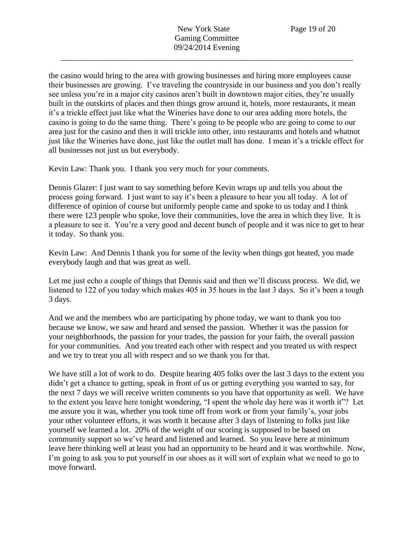the casino would bring to the area with growing businesses and hiring more employees cause their businesses are growing. I've traveling the countryside in our business and you don't really see unless you're in a major city casinos aren't built in downtown major cities, they're usually built in the outskirts of places and then things grow around it, hotels, more restaurants, it mean it's a trickle effect just like what the Wineries have done to our area adding more hotels, the casino is going to do the same thing. There's going to be people who are going to come to our area just for the casino and then it will trickle into other, into restaurants and hotels and whatnot just like the Wineries have done, just like the outlet mall has done. I mean it's a trickle effect for all businesses not just us but everybody.

Kevin Law: Thank you. I thank you very much for your comments.

Dennis Glazer: I just want to say something before Kevin wraps up and tells you about the process going forward. I just want to say it's been a pleasure to hear you all today. A lot of difference of opinion of course but uniformly people came and spoke to us today and I think there were 123 people who spoke, love their communities, love the area in which they live. It is a pleasure to see it. You're a very good and decent bunch of people and it was nice to get to hear it today. So thank you.

Kevin Law: And Dennis I thank you for some of the levity when things got heated, you made everybody laugh and that was great as well.

Let me just echo a couple of things that Dennis said and then we'll discuss process. We did, we listened to 122 of you today which makes 405 in 35 hours in the last 3 days. So it's been a tough 3 days.

And we and the members who are participating by phone today, we want to thank you too because we know, we saw and heard and sensed the passion. Whether it was the passion for your neighborhoods, the passion for your trades, the passion for your faith, the overall passion for your communities. And you treated each other with respect and you treated us with respect and we try to treat you all with respect and so we thank you for that.

We have still a lot of work to do. Despite hearing 405 folks over the last 3 days to the extent you didn't get a chance to getting, speak in front of us or getting everything you wanted to say, for the next 7 days we will receive written comments so you have that opportunity as well. We have to the extent you leave here tonight wondering, "I spent the whole day here was it worth it"? Let me assure you it was, whether you took time off from work or from your family's, your jobs your other volunteer efforts, it was worth it because after 3 days of listening to folks just like yourself we learned a lot. 20% of the weight of our scoring is supposed to be based on community support so we've heard and listened and learned. So you leave here at minimum leave here thinking well at least you had an opportunity to be heard and it was worthwhile. Now, I'm going to ask you to put yourself in our shoes as it will sort of explain what we need to go to move forward.